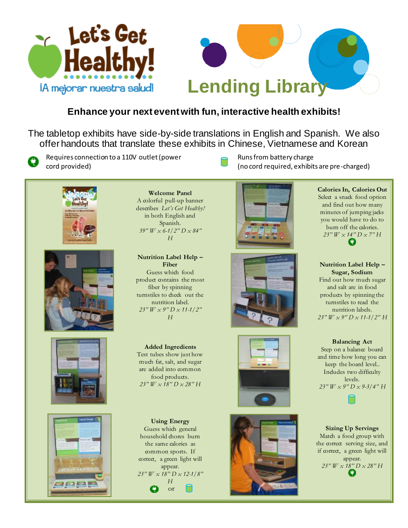



## **Enhance your next event with fun, interactive health exhibits!**

The tabletop exhibits have side-by-side translations in English and Spanish. We also offer handouts that translate these exhibits in Chinese, Vietnamese and Korean



Requires connection to a 110V outlet (power cord provided)







**Welcome Panel** A colorful pull-up banner describes *Let's Get Healthy!* in both English and Spanish. *39" W x 6-1/2" D x 84" H*

**Nutrition Label Help – Fiber** Guess which food product contains the most fiber by spinning turnstiles to check out the nutrition label. *23" W x 9" D x 11-1/2" H*

**Added Ingredients** Test tubes show just how much fat, salt, and sugar are added into common food products. *23" W x 18" D x 28" H*

**Using Energy** Guess which general household chores burn the same calories as common sports. If correct, a green light will appear. *23" W x 18" D x 12-1/8" H* o or









Runs from battery charge (no cord required, exhibits are pre-charged)



**Nutrition Label Help – Sugar, Sodium** Find out how much sugar and salt are in food products by spinning the turnstiles to read the nutrition labels. *23" W x 9" D x 11-1/2" H*

**Balancing Act** Step on a balance board and time how long you can keep the board level.. Includes two difficulty levels. *23" W x 9" D x 9-3/4" H*